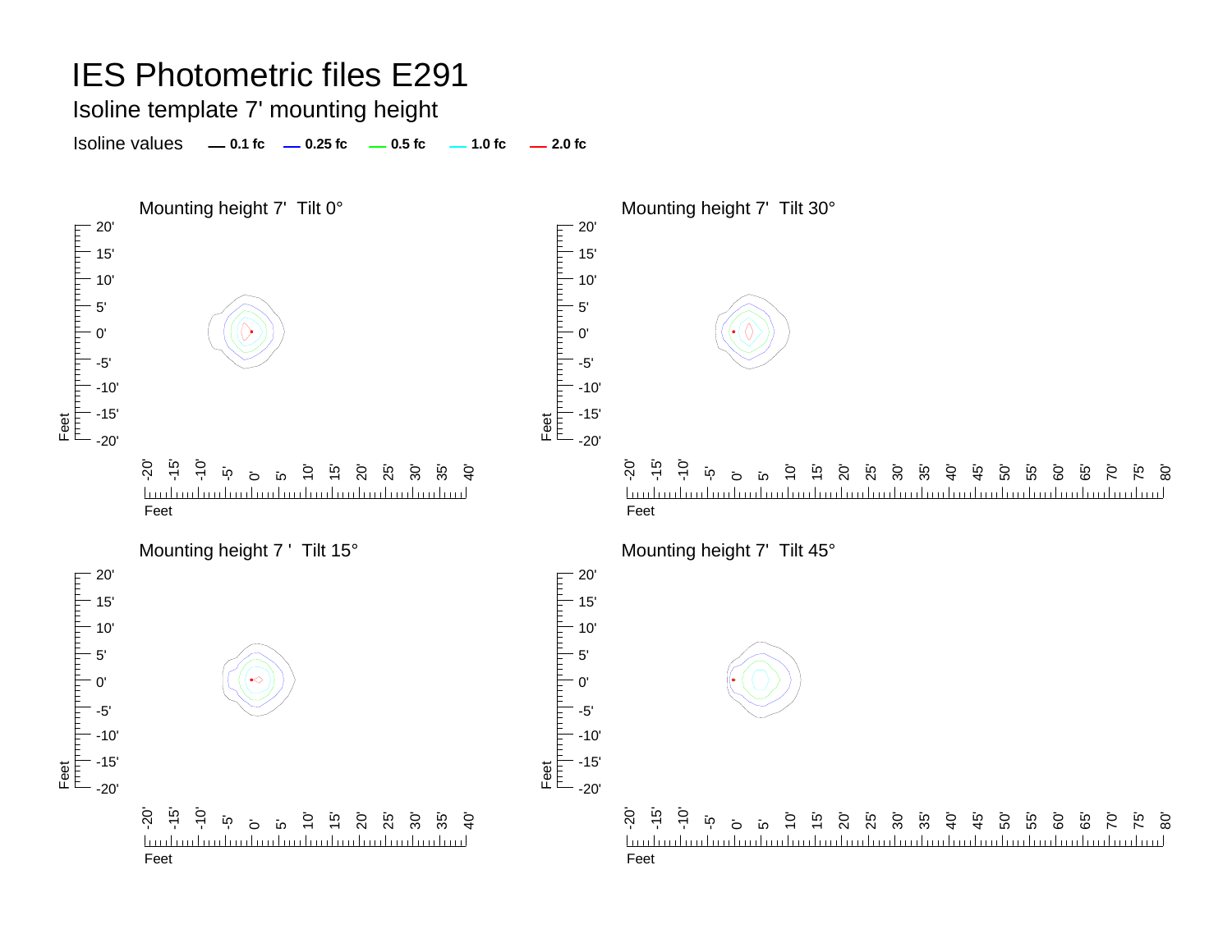Isoline template 7' mounting height

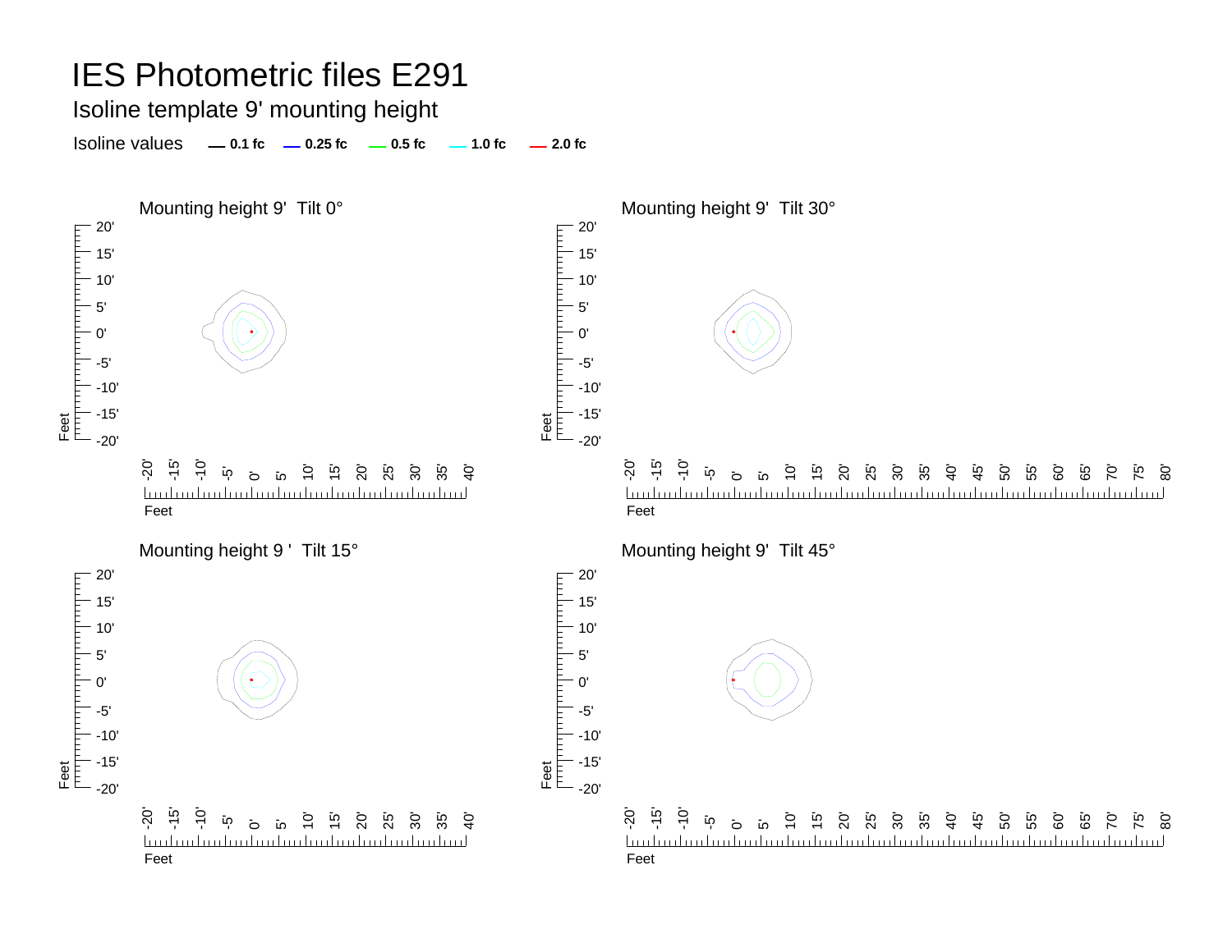Isoline template 9' mounting height

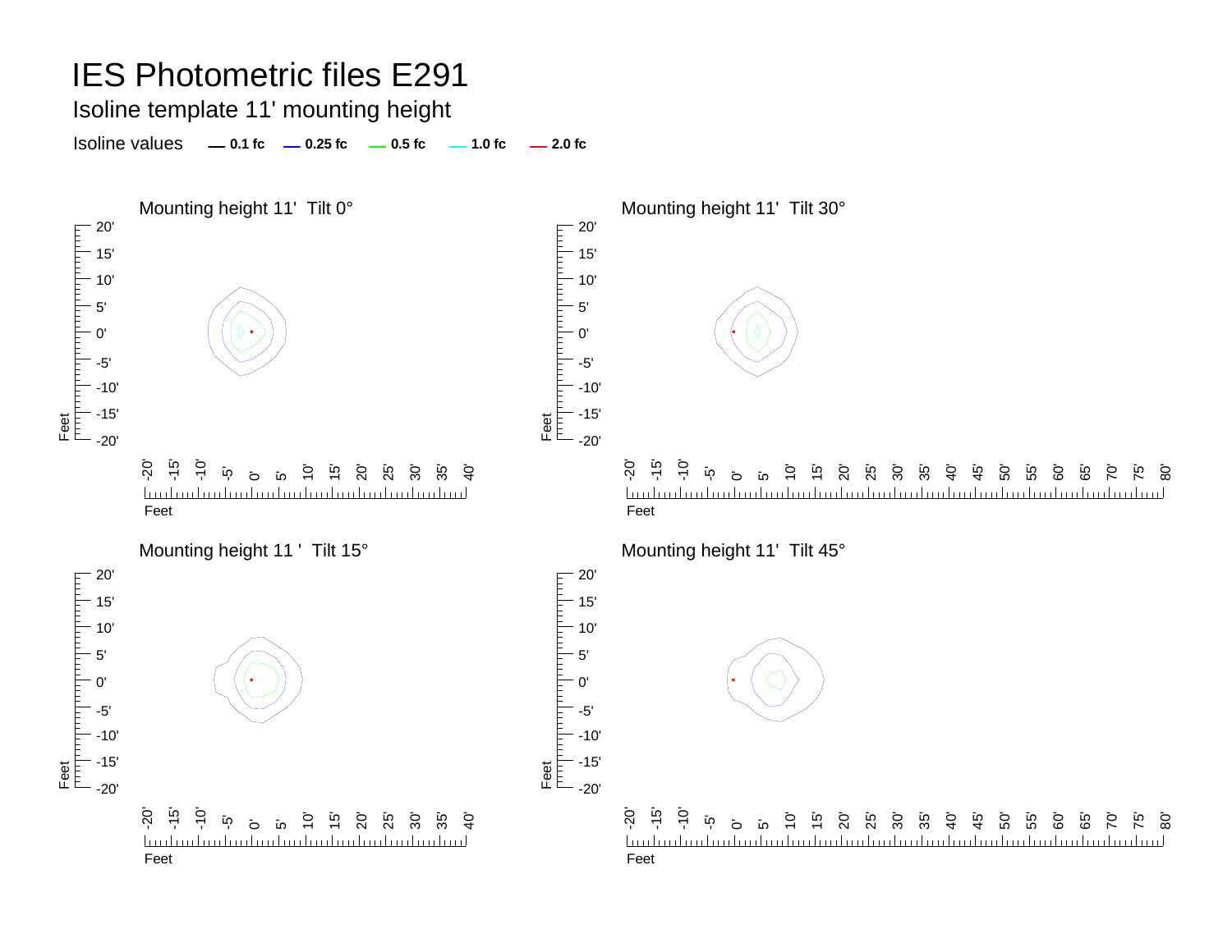Isoline template 11' mounting height

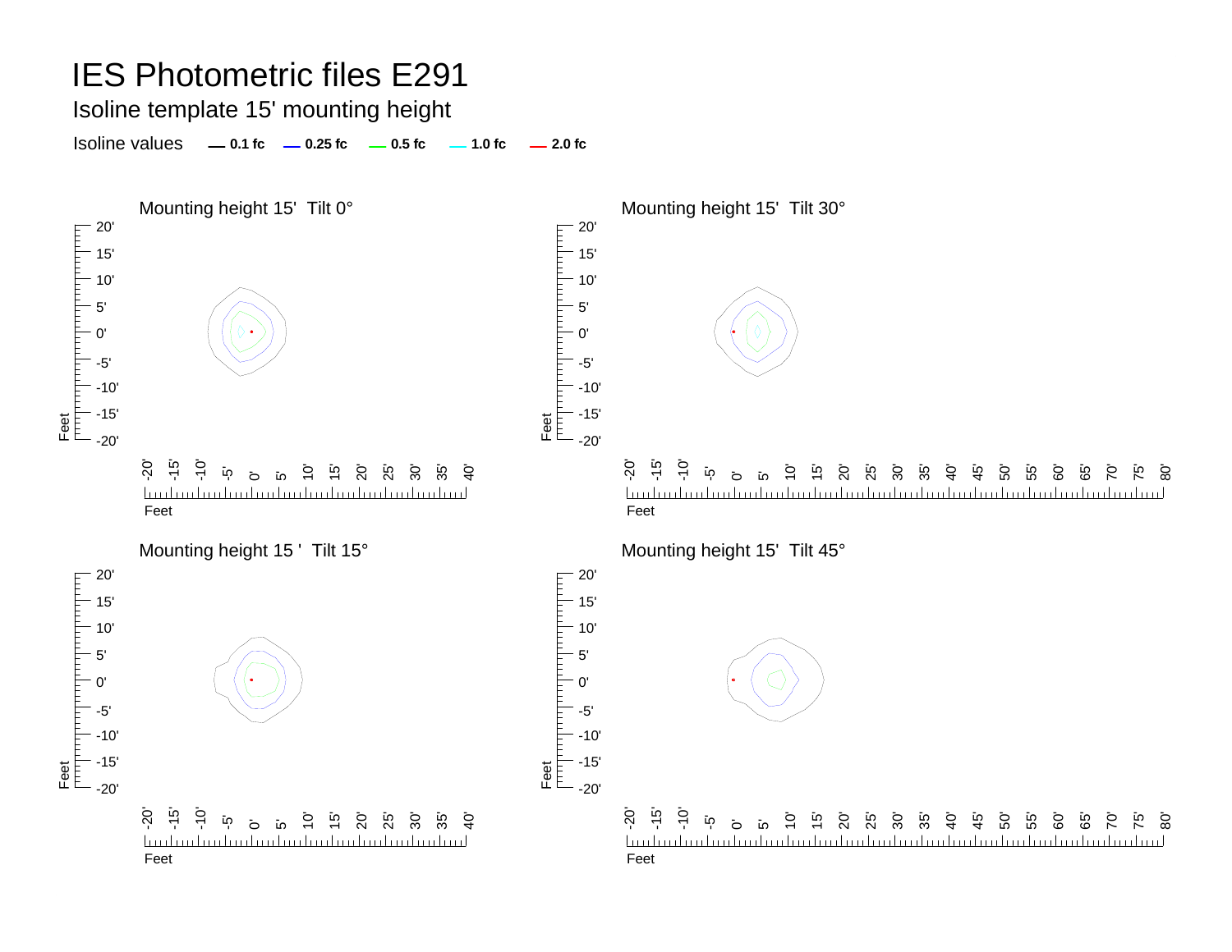#### Isoline template 15' mounting height

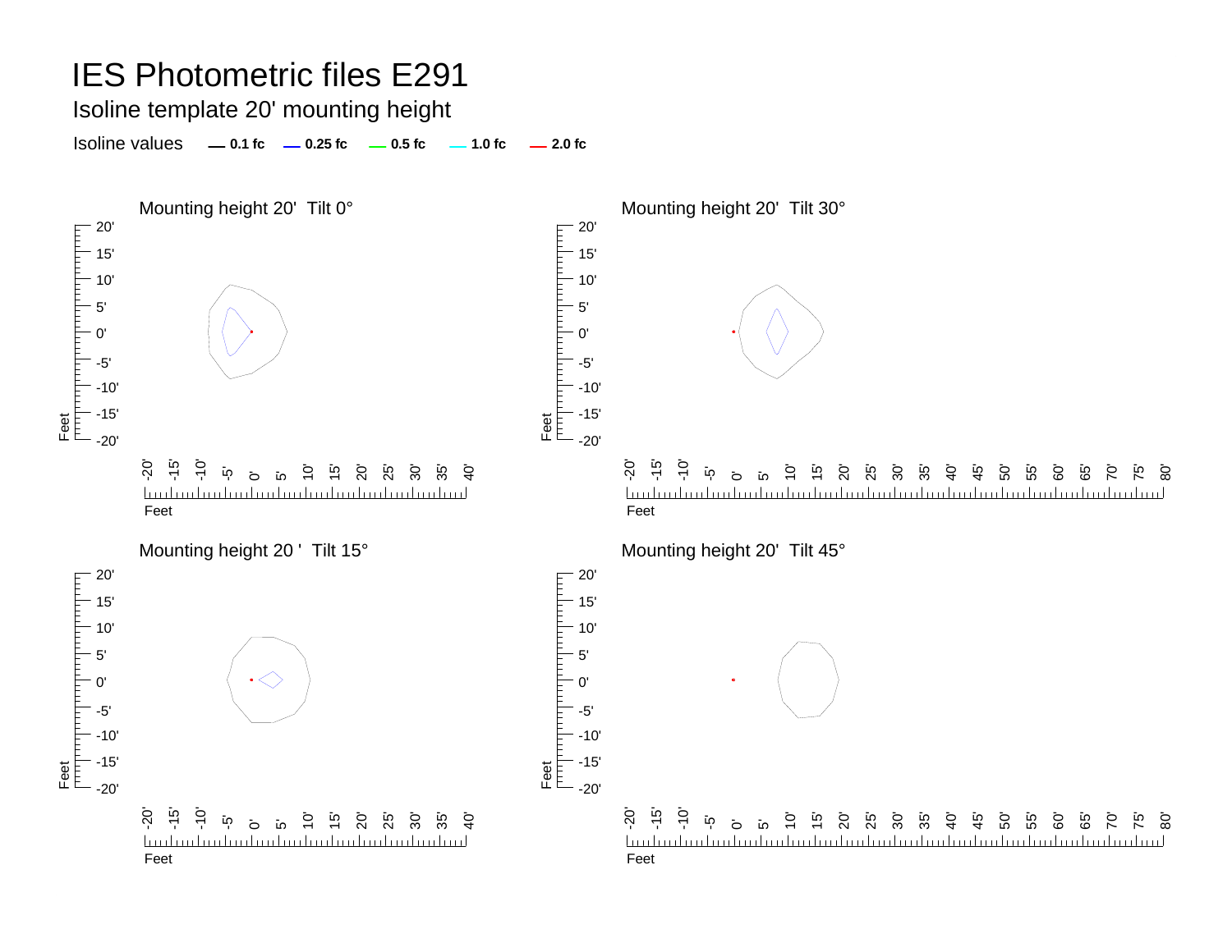Isoline template 20' mounting height

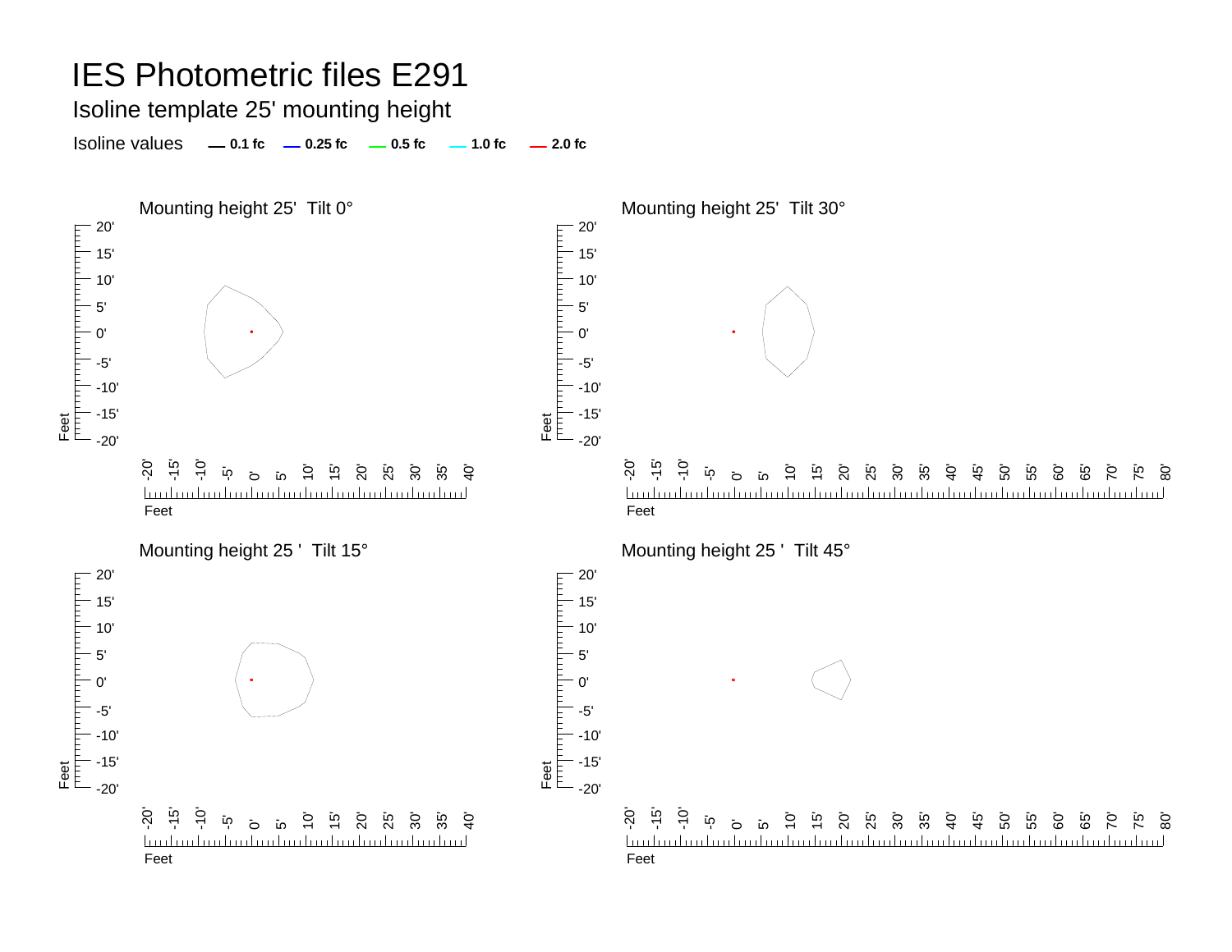Isoline template 25' mounting height